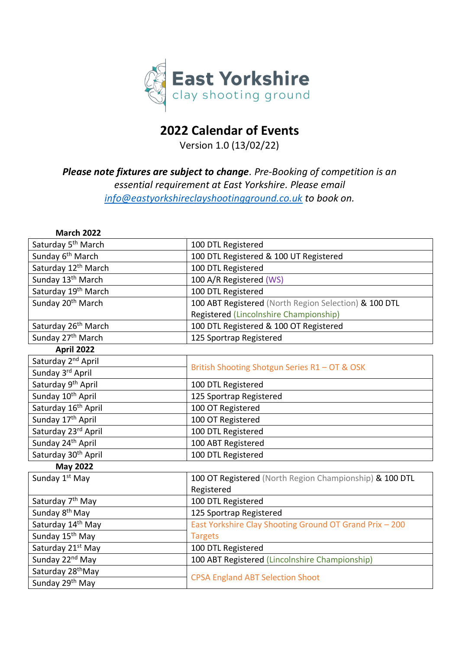

## **2022 Calendar of Events**

Version 1.0 (13/02/22)

## *Please note fixtures are subject to change. Pre-Booking of competition is an essential requirement at East Yorkshire. Please email [info@eastyorkshireclayshootingground.co.uk](mailto:info@eastyorkshireclayshootingground.co.uk) to book on.*

| <b>March 2022</b>               |                                                         |  |
|---------------------------------|---------------------------------------------------------|--|
| Saturday 5 <sup>th</sup> March  | 100 DTL Registered                                      |  |
| Sunday 6 <sup>th</sup> March    | 100 DTL Registered & 100 UT Registered                  |  |
| Saturday 12 <sup>th</sup> March | 100 DTL Registered                                      |  |
| Sunday 13 <sup>th</sup> March   | 100 A/R Registered (WS)                                 |  |
| Saturday 19 <sup>th</sup> March | 100 DTL Registered                                      |  |
| Sunday 20 <sup>th</sup> March   | 100 ABT Registered (North Region Selection) & 100 DTL   |  |
|                                 | Registered (Lincolnshire Championship)                  |  |
| Saturday 26 <sup>th</sup> March | 100 DTL Registered & 100 OT Registered                  |  |
| Sunday 27 <sup>th</sup> March   | 125 Sportrap Registered                                 |  |
| <b>April 2022</b>               |                                                         |  |
| Saturday 2 <sup>nd</sup> April  | British Shooting Shotgun Series R1 - OT & OSK           |  |
| Sunday 3rd April                |                                                         |  |
| Saturday 9 <sup>th</sup> April  | 100 DTL Registered                                      |  |
| Sunday 10 <sup>th</sup> April   | 125 Sportrap Registered                                 |  |
| Saturday 16 <sup>th</sup> April | 100 OT Registered                                       |  |
| Sunday 17 <sup>th</sup> April   | 100 OT Registered                                       |  |
| Saturday 23rd April             | 100 DTL Registered                                      |  |
| Sunday 24 <sup>th</sup> April   | 100 ABT Registered                                      |  |
| Saturday 30 <sup>th</sup> April | 100 DTL Registered                                      |  |
| <b>May 2022</b>                 |                                                         |  |
| Sunday 1 <sup>st</sup> May      | 100 OT Registered (North Region Championship) & 100 DTL |  |
|                                 | Registered                                              |  |
| Saturday 7 <sup>th</sup> May    | 100 DTL Registered                                      |  |
| Sunday 8 <sup>th</sup> May      | 125 Sportrap Registered                                 |  |
| Saturday 14 <sup>th</sup> May   | East Yorkshire Clay Shooting Ground OT Grand Prix - 200 |  |
| Sunday 15 <sup>th</sup> May     | <b>Targets</b>                                          |  |
| Saturday 21 <sup>st</sup> May   | 100 DTL Registered                                      |  |
| Sunday 22 <sup>nd</sup> May     | 100 ABT Registered (Lincolnshire Championship)          |  |
| Saturday 28 <sup>th</sup> May   | <b>CPSA England ABT Selection Shoot</b>                 |  |
| Sunday 29 <sup>th</sup> May     |                                                         |  |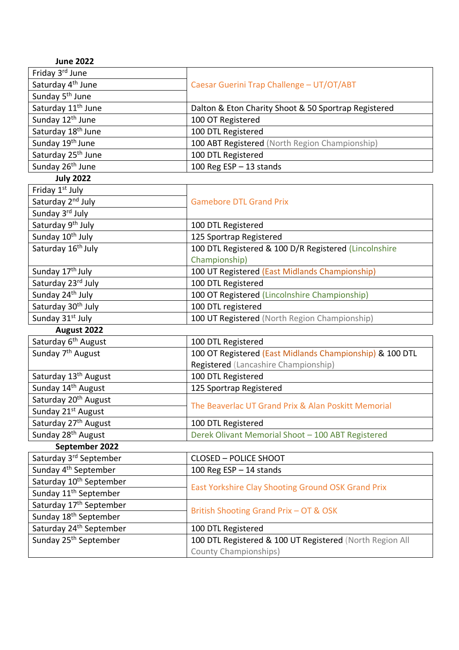| <b>June 2022</b>                    |                                                          |
|-------------------------------------|----------------------------------------------------------|
| Friday 3rd June                     |                                                          |
| Saturday 4 <sup>th</sup> June       | Caesar Guerini Trap Challenge - UT/OT/ABT                |
| Sunday 5 <sup>th</sup> June         |                                                          |
| Saturday 11 <sup>th</sup> June      | Dalton & Eton Charity Shoot & 50 Sportrap Registered     |
| Sunday 12 <sup>th</sup> June        | 100 OT Registered                                        |
| Saturday 18 <sup>th</sup> June      | 100 DTL Registered                                       |
| Sunday 19 <sup>th</sup> June        | 100 ABT Registered (North Region Championship)           |
| Saturday 25 <sup>th</sup> June      | 100 DTL Registered                                       |
| Sunday 26 <sup>th</sup> June        | 100 Reg $ESP - 13$ stands                                |
| <b>July 2022</b>                    |                                                          |
| Friday 1 <sup>st</sup> July         |                                                          |
| Saturday 2 <sup>nd</sup> July       | <b>Gamebore DTL Grand Prix</b>                           |
| Sunday 3rd July                     |                                                          |
| Saturday 9 <sup>th</sup> July       | 100 DTL Registered                                       |
| Sunday 10 <sup>th</sup> July        | 125 Sportrap Registered                                  |
| Saturday 16 <sup>th</sup> July      | 100 DTL Registered & 100 D/R Registered (Lincolnshire    |
|                                     | Championship)                                            |
| Sunday 17 <sup>th</sup> July        | 100 UT Registered (East Midlands Championship)           |
| Saturday 23rd July                  | 100 DTL Registered                                       |
| Sunday 24 <sup>th</sup> July        | 100 OT Registered (Lincolnshire Championship)            |
| Saturday 30 <sup>th</sup> July      | 100 DTL registered                                       |
| Sunday 31 <sup>st</sup> July        | 100 UT Registered (North Region Championship)            |
| August 2022                         |                                                          |
| Saturday 6 <sup>th</sup> August     | 100 DTL Registered                                       |
| Sunday 7 <sup>th</sup> August       | 100 OT Registered (East Midlands Championship) & 100 DTL |
|                                     | Registered (Lancashire Championship)                     |
| Saturday 13 <sup>th</sup> August    | 100 DTL Registered                                       |
| Sunday 14 <sup>th</sup> August      | 125 Sportrap Registered                                  |
| Saturday 20 <sup>th</sup> August    | The Beaverlac UT Grand Prix & Alan Poskitt Memorial      |
| Sunday 21 <sup>st</sup> August      |                                                          |
| Saturday 27 <sup>th</sup> August    | 100 DTL Registered                                       |
| Sunday 28 <sup>th</sup> August      | Derek Olivant Memorial Shoot - 100 ABT Registered        |
| September 2022                      |                                                          |
| Saturday 3 <sup>rd</sup> September  | <b>CLOSED - POLICE SHOOT</b>                             |
| Sunday 4 <sup>th</sup> September    | 100 Reg ESP $-$ 14 stands                                |
| Saturday 10 <sup>th</sup> September | East Yorkshire Clay Shooting Ground OSK Grand Prix       |
| Sunday 11 <sup>th</sup> September   |                                                          |
| Saturday 17 <sup>th</sup> September |                                                          |
| Sunday 18 <sup>th</sup> September   | British Shooting Grand Prix - OT & OSK                   |
| Saturday 24 <sup>th</sup> September | 100 DTL Registered                                       |
| Sunday 25 <sup>th</sup> September   | 100 DTL Registered & 100 UT Registered (North Region All |
|                                     | <b>County Championships)</b>                             |